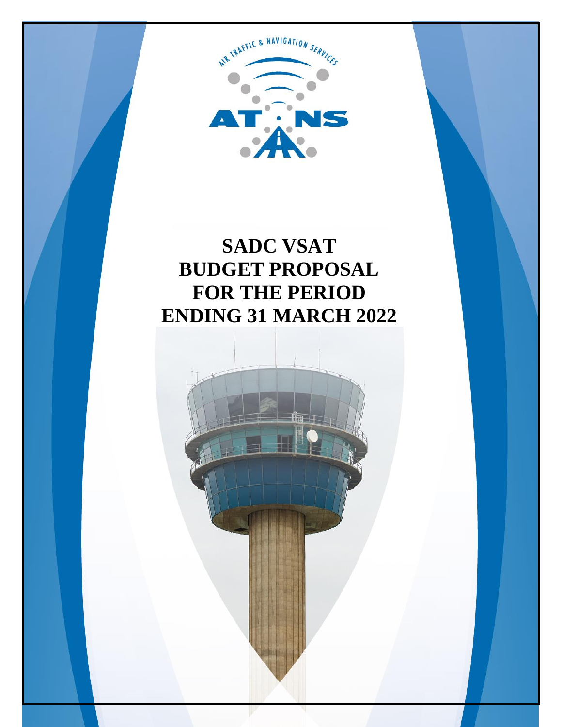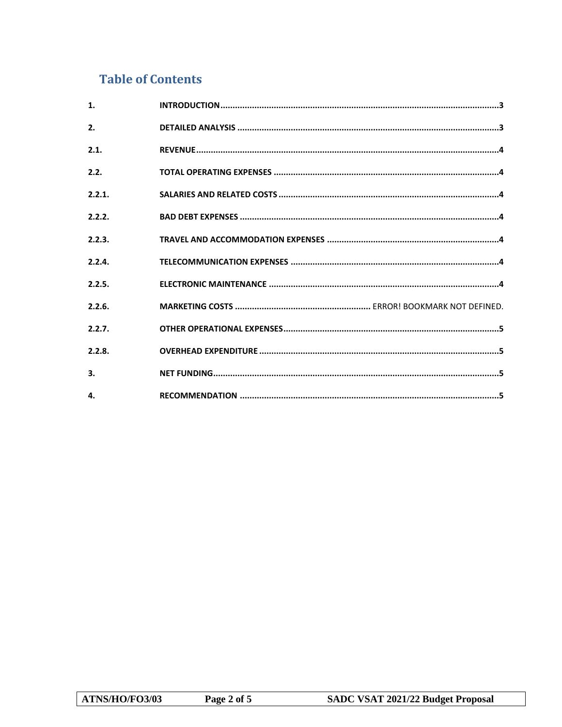# **Table of Contents**

| $\mathbf{1}$ . |  |
|----------------|--|
| 2.             |  |
| 2.1.           |  |
| 2.2.           |  |
| 2.2.1.         |  |
| 2.2.2.         |  |
| 2.2.3.         |  |
| 2.2.4.         |  |
| 2.2.5.         |  |
| 2.2.6.         |  |
| 2.2.7.         |  |
| 2.2.8.         |  |
| 3.             |  |
| 4.             |  |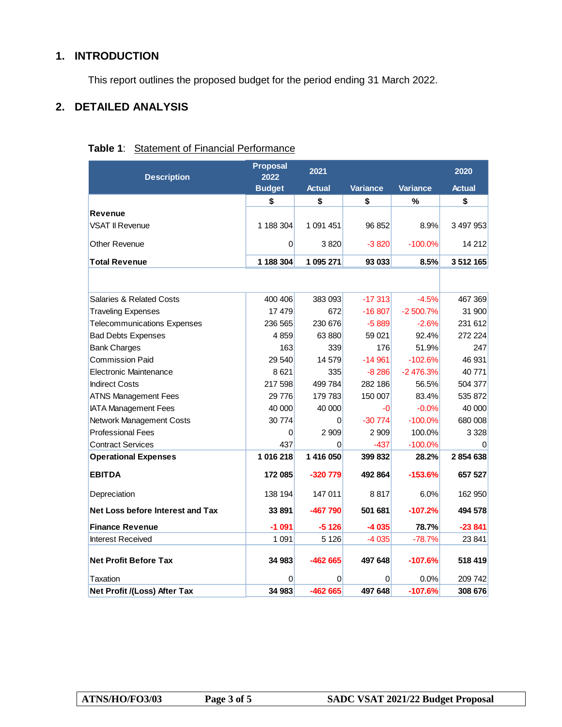# <span id="page-2-0"></span>**1. INTRODUCTION**

This report outlines the proposed budget for the period ending 31 March 2022.

# <span id="page-2-1"></span>**2. DETAILED ANALYSIS**

#### **Table 1**: Statement of Financial Performance

| <b>Description</b>                  | <b>Proposal</b><br>2022 | 2021          |                 |                 | 2020          |
|-------------------------------------|-------------------------|---------------|-----------------|-----------------|---------------|
|                                     | <b>Budget</b>           | <b>Actual</b> | <b>Variance</b> | <b>Variance</b> | <b>Actual</b> |
|                                     | \$                      | \$            | \$              | %               | \$            |
| <b>Revenue</b>                      |                         |               |                 |                 |               |
| <b>VSAT II Revenue</b>              | 1 188 304               | 1 091 451     | 96 852          | 8.9%            | 3497953       |
| Other Revenue                       | $\Omega$                | 3820          | $-3820$         | $-100.0%$       | 14 21 2       |
| <b>Total Revenue</b>                | 1 188 304               | 1 095 271     | 93 033          | 8.5%            | 3512165       |
|                                     |                         |               |                 |                 |               |
| <b>Salaries &amp; Related Costs</b> | 400 406                 | 383 093       | $-17313$        | $-4.5%$         | 467 369       |
| <b>Traveling Expenses</b>           | 17 479                  | 672           | $-16807$        | $-2500.7%$      | 31 900        |
| <b>Telecommunications Expenses</b>  | 236 565                 | 230 676       | $-5889$         | $-2.6%$         | 231 612       |
| <b>Bad Debts Expenses</b>           | 4859                    | 63880         | 59 021          | 92.4%           | 272 224       |
| <b>Bank Charges</b>                 | 163                     | 339           | 176             | 51.9%           | 247           |
| Commission Paid                     | 29 540                  | 14579         | $-14961$        | $-102.6%$       | 46 931        |
| Electronic Maintenance              | 8621                    | 335           | $-8286$         | -2 476.3%       | 40 771        |
| <b>Indirect Costs</b>               | 217 598                 | 499 784       | 282 186         | 56.5%           | 504 377       |
| <b>ATNS Management Fees</b>         | 29776                   | 179 783       | 150 007         | 83.4%           | 535 872       |
| <b>IATA Management Fees</b>         | 40 000                  | 40 000        | -0              | $-0.0%$         | 40 000        |
| Network Management Costs            | 30 774                  | 0             | $-30774$        | $-100.0%$       | 680 008       |
| <b>Professional Fees</b>            | $\overline{0}$          | 2 9 0 9       | 2 9 0 9         | 100.0%          | 3 3 2 8       |
| <b>Contract Services</b>            | 437                     | $\Omega$      | $-437$          | $-100.0%$       | $\Omega$      |
| <b>Operational Expenses</b>         | 1 016 218               | 1 416 050     | 399 832         | 28.2%           | 2854638       |
| <b>EBITDA</b>                       | 172 085                 | -320 779      | 492 864         | $-153.6%$       | 657 527       |
| Depreciation                        | 138 194                 | 147 011       | 8817            | 6.0%            | 162 950       |
| Net Loss before Interest and Tax    | 33891                   | -467 790      | 501 681         | $-107.2%$       | 494 578       |
| <b>Finance Revenue</b>              | $-1091$                 | $-5126$       | -4 035          | 78.7%           | $-23841$      |
| <b>Interest Received</b>            | 1 0 9 1                 | 5 1 2 6       | $-4035$         | $-78.7%$        | 23 841        |
| <b>Net Profit Before Tax</b>        | 34 983                  | $-462665$     | 497 648         | $-107.6%$       | 518 419       |
| Taxation                            | 0                       | 0             | 0               | 0.0%            | 209 742       |
| Net Profit /(Loss) After Tax        | 34 983                  | -462 665      | 497 648         | $-107.6%$       | 308 676       |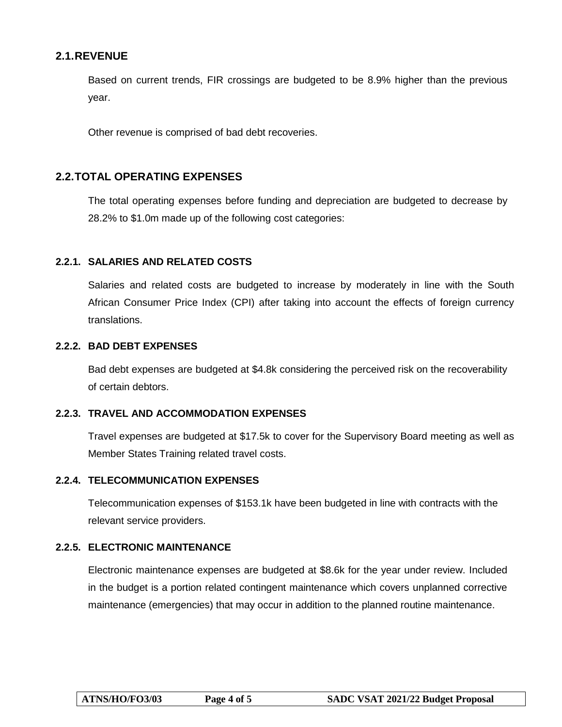# <span id="page-3-0"></span>**2.1.REVENUE**

Based on current trends, FIR crossings are budgeted to be 8.9% higher than the previous year.

Other revenue is comprised of bad debt recoveries.

# <span id="page-3-1"></span>**2.2.TOTAL OPERATING EXPENSES**

The total operating expenses before funding and depreciation are budgeted to decrease by 28.2% to \$1.0m made up of the following cost categories:

#### <span id="page-3-2"></span>**2.2.1. SALARIES AND RELATED COSTS**

Salaries and related costs are budgeted to increase by moderately in line with the South African Consumer Price Index (CPI) after taking into account the effects of foreign currency translations.

#### <span id="page-3-3"></span>**2.2.2. BAD DEBT EXPENSES**

Bad debt expenses are budgeted at \$4.8k considering the perceived risk on the recoverability of certain debtors.

#### <span id="page-3-4"></span>**2.2.3. TRAVEL AND ACCOMMODATION EXPENSES**

Travel expenses are budgeted at \$17.5k to cover for the Supervisory Board meeting as well as Member States Training related travel costs.

#### <span id="page-3-5"></span>**2.2.4. TELECOMMUNICATION EXPENSES**

Telecommunication expenses of \$153.1k have been budgeted in line with contracts with the relevant service providers.

#### <span id="page-3-6"></span>**2.2.5. ELECTRONIC MAINTENANCE**

Electronic maintenance expenses are budgeted at \$8.6k for the year under review. Included in the budget is a portion related contingent maintenance which covers unplanned corrective maintenance (emergencies) that may occur in addition to the planned routine maintenance.